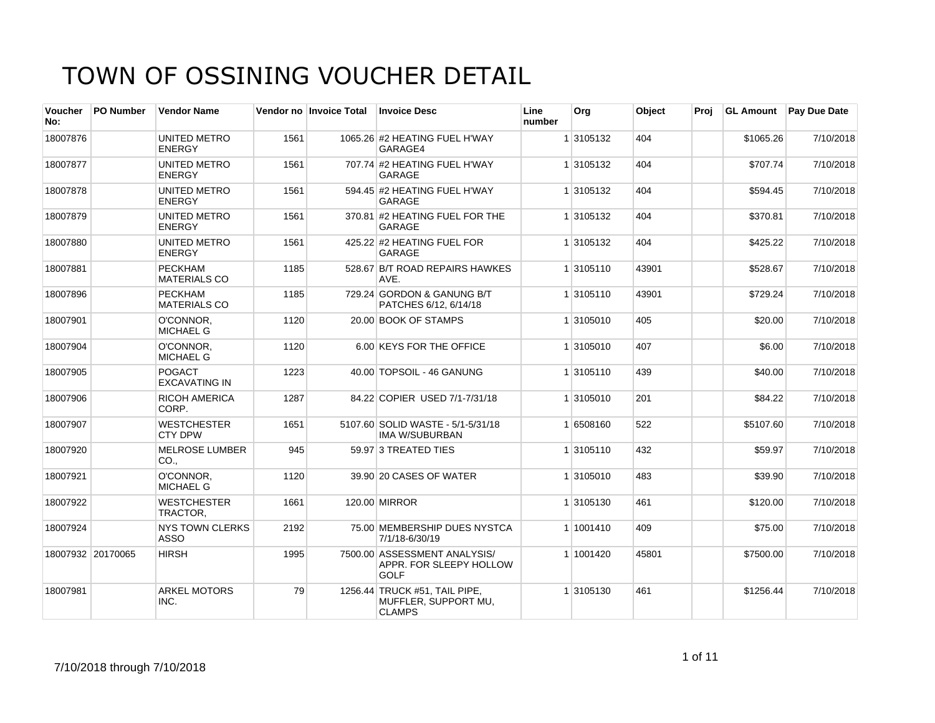| <b>Voucher</b><br>No: | <b>PO Number</b>  | <b>Vendor Name</b>                    |      | Vendor no Invoice Total | <b>Invoice Desc</b>                                                    | Line<br>number | Org       | Object | Proi |           | GL Amount Pay Due Date |
|-----------------------|-------------------|---------------------------------------|------|-------------------------|------------------------------------------------------------------------|----------------|-----------|--------|------|-----------|------------------------|
| 18007876              |                   | UNITED METRO<br><b>ENERGY</b>         | 1561 |                         | 1065.26 #2 HEATING FUEL H'WAY<br>GARAGE4                               |                | 1 3105132 | 404    |      | \$1065.26 | 7/10/2018              |
| 18007877              |                   | <b>UNITED METRO</b><br><b>ENERGY</b>  | 1561 |                         | 707.74 #2 HEATING FUEL H'WAY<br><b>GARAGE</b>                          |                | 1 3105132 | 404    |      | \$707.74  | 7/10/2018              |
| 18007878              |                   | UNITED METRO<br><b>ENERGY</b>         | 1561 |                         | 594.45 #2 HEATING FUEL H'WAY<br><b>GARAGE</b>                          |                | 1 3105132 | 404    |      | \$594.45  | 7/10/2018              |
| 18007879              |                   | UNITED METRO<br><b>ENERGY</b>         | 1561 |                         | 370.81 #2 HEATING FUEL FOR THE<br><b>GARAGE</b>                        |                | 1 3105132 | 404    |      | \$370.81  | 7/10/2018              |
| 18007880              |                   | UNITED METRO<br><b>ENERGY</b>         | 1561 |                         | 425.22 #2 HEATING FUEL FOR<br>GARAGE                                   |                | 1 3105132 | 404    |      | \$425.22  | 7/10/2018              |
| 18007881              |                   | <b>PECKHAM</b><br><b>MATERIALS CO</b> | 1185 |                         | 528.67 B/T ROAD REPAIRS HAWKES<br>AVE.                                 |                | 1 3105110 | 43901  |      | \$528.67  | 7/10/2018              |
| 18007896              |                   | <b>PECKHAM</b><br><b>MATERIALS CO</b> | 1185 |                         | 729.24 GORDON & GANUNG B/T<br>PATCHES 6/12, 6/14/18                    |                | 1 3105110 | 43901  |      | \$729.24  | 7/10/2018              |
| 18007901              |                   | O'CONNOR.<br><b>MICHAEL G</b>         | 1120 |                         | 20.00 BOOK OF STAMPS                                                   |                | 1 3105010 | 405    |      | \$20.00   | 7/10/2018              |
| 18007904              |                   | O'CONNOR,<br><b>MICHAEL G</b>         | 1120 |                         | 6.00 KEYS FOR THE OFFICE                                               |                | 1 3105010 | 407    |      | \$6.00    | 7/10/2018              |
| 18007905              |                   | POGACT<br><b>EXCAVATING IN</b>        | 1223 |                         | 40.00 TOPSOIL - 46 GANUNG                                              |                | 1 3105110 | 439    |      | \$40.00   | 7/10/2018              |
| 18007906              |                   | <b>RICOH AMERICA</b><br>CORP.         | 1287 |                         | 84.22 COPIER USED 7/1-7/31/18                                          |                | 1 3105010 | 201    |      | \$84.22   | 7/10/2018              |
| 18007907              |                   | <b>WESTCHESTER</b><br><b>CTY DPW</b>  | 1651 |                         | 5107.60 SOLID WASTE - 5/1-5/31/18<br><b>IMA W/SUBURBAN</b>             |                | 1 6508160 | 522    |      | \$5107.60 | 7/10/2018              |
| 18007920              |                   | <b>MELROSE LUMBER</b><br>CO.,         | 945  |                         | 59.97 3 TREATED TIES                                                   |                | 1 3105110 | 432    |      | \$59.97   | 7/10/2018              |
| 18007921              |                   | O'CONNOR.<br><b>MICHAEL G</b>         | 1120 |                         | 39.90 20 CASES OF WATER                                                |                | 1 3105010 | 483    |      | \$39.90   | 7/10/2018              |
| 18007922              |                   | <b>WESTCHESTER</b><br>TRACTOR,        | 1661 |                         | <b>120.00 MIRROR</b>                                                   |                | 1 3105130 | 461    |      | \$120.00  | 7/10/2018              |
| 18007924              |                   | <b>NYS TOWN CLERKS</b><br><b>ASSO</b> | 2192 |                         | 75.00 MEMBERSHIP DUES NYSTCA<br>7/1/18-6/30/19                         |                | 1 1001410 | 409    |      | \$75.00   | 7/10/2018              |
|                       | 18007932 20170065 | <b>HIRSH</b>                          | 1995 |                         | 7500.00 ASSESSMENT ANALYSIS/<br>APPR. FOR SLEEPY HOLLOW<br><b>GOLF</b> |                | 1 1001420 | 45801  |      | \$7500.00 | 7/10/2018              |
| 18007981              |                   | <b>ARKEL MOTORS</b><br>INC.           | 79   |                         | 1256.44 TRUCK #51, TAIL PIPE,<br>MUFFLER, SUPPORT MU,<br><b>CLAMPS</b> |                | 1 3105130 | 461    |      | \$1256.44 | 7/10/2018              |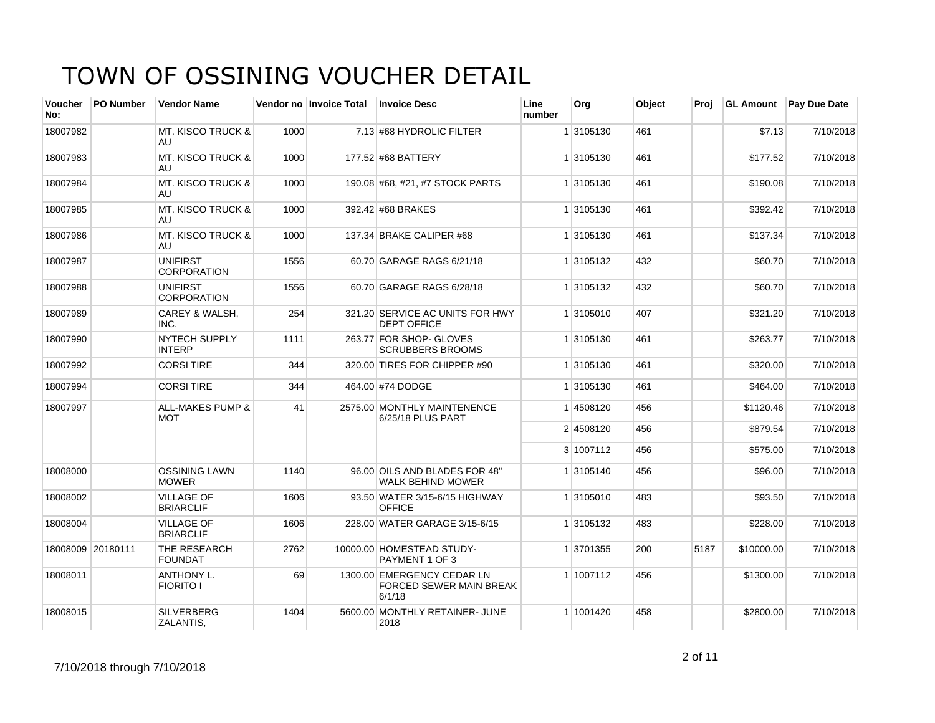| Voucher<br>No:    | <b>PO Number</b> | <b>Vendor Name</b>                        |      | Vendor no Invoice Total | <b>Invoice Desc</b>                                             | Line<br>number | Org       | Object | Proj | <b>GL Amount</b> | <b>Pay Due Date</b> |
|-------------------|------------------|-------------------------------------------|------|-------------------------|-----------------------------------------------------------------|----------------|-----------|--------|------|------------------|---------------------|
| 18007982          |                  | <b>MT. KISCO TRUCK &amp;</b><br>AU        | 1000 |                         | 7.13 #68 HYDROLIC FILTER                                        |                | 1 3105130 | 461    |      | \$7.13           | 7/10/2018           |
| 18007983          |                  | <b>MT. KISCO TRUCK &amp;</b><br>AU        | 1000 |                         | 177.52 #68 BATTERY                                              |                | 1 3105130 | 461    |      | \$177.52         | 7/10/2018           |
| 18007984          |                  | <b>MT. KISCO TRUCK &amp;</b><br>AU        | 1000 |                         | 190.08 #68, #21, #7 STOCK PARTS                                 |                | 1 3105130 | 461    |      | \$190.08         | 7/10/2018           |
| 18007985          |                  | <b>MT. KISCO TRUCK &amp;</b><br>AU.       | 1000 |                         | 392.42 #68 BRAKES                                               |                | 1 3105130 | 461    |      | \$392.42         | 7/10/2018           |
| 18007986          |                  | <b>MT. KISCO TRUCK &amp;</b><br>AU        | 1000 |                         | 137.34 BRAKE CALIPER #68                                        |                | 1 3105130 | 461    |      | \$137.34         | 7/10/2018           |
| 18007987          |                  | <b>UNIFIRST</b><br><b>CORPORATION</b>     | 1556 |                         | 60.70 GARAGE RAGS 6/21/18                                       |                | 1 3105132 | 432    |      | \$60.70          | 7/10/2018           |
| 18007988          |                  | <b>UNIFIRST</b><br><b>CORPORATION</b>     | 1556 |                         | 60.70 GARAGE RAGS 6/28/18                                       |                | 1 3105132 | 432    |      | \$60.70          | 7/10/2018           |
| 18007989          |                  | CAREY & WALSH,<br>INC.                    | 254  |                         | 321.20 SERVICE AC UNITS FOR HWY<br><b>DEPT OFFICE</b>           |                | 1 3105010 | 407    |      | \$321.20         | 7/10/2018           |
| 18007990          |                  | <b>NYTECH SUPPLY</b><br><b>INTERP</b>     | 1111 |                         | 263.77 FOR SHOP- GLOVES<br><b>SCRUBBERS BROOMS</b>              |                | 1 3105130 | 461    |      | \$263.77         | 7/10/2018           |
| 18007992          |                  | <b>CORSI TIRE</b>                         | 344  |                         | 320.00 TIRES FOR CHIPPER #90                                    |                | 1 3105130 | 461    |      | \$320.00         | 7/10/2018           |
| 18007994          |                  | <b>CORSI TIRE</b>                         | 344  |                         | 464.00 #74 DODGE                                                |                | 1 3105130 | 461    |      | \$464.00         | 7/10/2018           |
| 18007997          |                  | <b>ALL-MAKES PUMP &amp;</b><br><b>MOT</b> | 41   |                         | 2575.00 MONTHLY MAINTENENCE<br>6/25/18 PLUS PART                |                | 14508120  | 456    |      | \$1120.46        | 7/10/2018           |
|                   |                  |                                           |      |                         |                                                                 |                | 2 4508120 | 456    |      | \$879.54         | 7/10/2018           |
|                   |                  |                                           |      |                         |                                                                 |                | 3 1007112 | 456    |      | \$575.00         | 7/10/2018           |
| 18008000          |                  | <b>OSSINING LAWN</b><br><b>MOWER</b>      | 1140 |                         | 96.00 OILS AND BLADES FOR 48"<br><b>WALK BEHIND MOWER</b>       |                | 1 3105140 | 456    |      | \$96.00          | 7/10/2018           |
| 18008002          |                  | <b>VILLAGE OF</b><br><b>BRIARCLIF</b>     | 1606 |                         | 93.50 WATER 3/15-6/15 HIGHWAY<br><b>OFFICE</b>                  |                | 1 3105010 | 483    |      | \$93.50          | 7/10/2018           |
| 18008004          |                  | <b>VILLAGE OF</b><br><b>BRIARCLIF</b>     | 1606 |                         | 228.00 WATER GARAGE 3/15-6/15                                   |                | 1 3105132 | 483    |      | \$228.00         | 7/10/2018           |
| 18008009 20180111 |                  | THE RESEARCH<br><b>FOUNDAT</b>            | 2762 |                         | 10000.00 HOMESTEAD STUDY-<br>PAYMENT 1 OF 3                     |                | 1 3701355 | 200    | 5187 | \$10000.00       | 7/10/2018           |
| 18008011          |                  | ANTHONY L.<br><b>FIORITO I</b>            | 69   |                         | 1300.00 EMERGENCY CEDAR LN<br>FORCED SEWER MAIN BREAK<br>6/1/18 |                | 1 1007112 | 456    |      | \$1300.00        | 7/10/2018           |
| 18008015          |                  | <b>SILVERBERG</b><br>ZALANTIS,            | 1404 |                         | 5600.00 MONTHLY RETAINER- JUNE<br>2018                          |                | 1 1001420 | 458    |      | \$2800.00        | 7/10/2018           |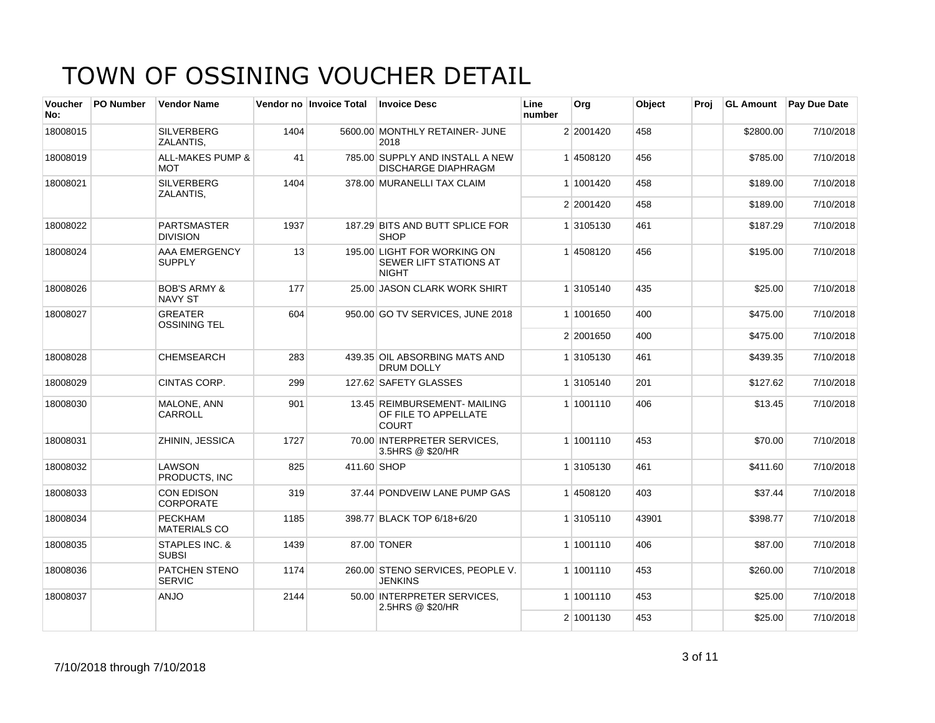| <b>Voucher</b><br>No: | <b>PO Number</b> | <b>Vendor Name</b>                        |      | Vendor no Invoice Total | <b>Invoice Desc</b>                                                   | Line<br>number | Org       | Object | Proj | <b>GL Amount</b> | Pay Due Date |
|-----------------------|------------------|-------------------------------------------|------|-------------------------|-----------------------------------------------------------------------|----------------|-----------|--------|------|------------------|--------------|
| 18008015              |                  | <b>SILVERBERG</b><br>ZALANTIS,            | 1404 |                         | 5600.00 MONTHLY RETAINER- JUNE<br>2018                                |                | 2 2001420 | 458    |      | \$2800.00        | 7/10/2018    |
| 18008019              |                  | <b>ALL-MAKES PUMP &amp;</b><br><b>MOT</b> | 41   |                         | 785.00 SUPPLY AND INSTALL A NEW<br><b>DISCHARGE DIAPHRAGM</b>         |                | 14508120  | 456    |      | \$785.00         | 7/10/2018    |
| 18008021              |                  | <b>SILVERBERG</b><br>ZALANTIS,            | 1404 |                         | 378.00 MURANELLI TAX CLAIM                                            |                | 1 1001420 | 458    |      | \$189.00         | 7/10/2018    |
|                       |                  |                                           |      |                         |                                                                       |                | 2 2001420 | 458    |      | \$189.00         | 7/10/2018    |
| 18008022              |                  | PARTSMASTER<br><b>DIVISION</b>            | 1937 |                         | 187.29 BITS AND BUTT SPLICE FOR<br><b>SHOP</b>                        |                | 1 3105130 | 461    |      | \$187.29         | 7/10/2018    |
| 18008024              |                  | AAA EMERGENCY<br><b>SUPPLY</b>            | 13   |                         | 195.00 LIGHT FOR WORKING ON<br>SEWER LIFT STATIONS AT<br><b>NIGHT</b> |                | 14508120  | 456    |      | \$195.00         | 7/10/2018    |
| 18008026              |                  | <b>BOB'S ARMY &amp;</b><br><b>NAVY ST</b> | 177  |                         | 25.00 JASON CLARK WORK SHIRT                                          |                | 1 3105140 | 435    |      | \$25.00          | 7/10/2018    |
| 18008027              |                  | <b>GREATER</b><br><b>OSSINING TEL</b>     | 604  |                         | 950.00 GO TV SERVICES, JUNE 2018                                      |                | 1 1001650 | 400    |      | \$475.00         | 7/10/2018    |
|                       |                  |                                           |      |                         |                                                                       |                | 2 2001650 | 400    |      | \$475.00         | 7/10/2018    |
| 18008028              |                  | <b>CHEMSEARCH</b>                         | 283  |                         | 439.35 OIL ABSORBING MATS AND<br>DRUM DOLLY                           |                | 1 3105130 | 461    |      | \$439.35         | 7/10/2018    |
| 18008029              |                  | CINTAS CORP.                              | 299  |                         | 127.62 SAFETY GLASSES                                                 |                | 1 3105140 | 201    |      | \$127.62         | 7/10/2018    |
| 18008030              |                  | MALONE, ANN<br>CARROLL                    | 901  |                         | 13.45 REIMBURSEMENT- MAILING<br>OF FILE TO APPELLATE<br>COURT         |                | 1 1001110 | 406    |      | \$13.45          | 7/10/2018    |
| 18008031              |                  | ZHININ, JESSICA                           | 1727 |                         | 70.00 INTERPRETER SERVICES,<br>3.5HRS @ \$20/HR                       |                | 1 1001110 | 453    |      | \$70.00          | 7/10/2018    |
| 18008032              |                  | LAWSON<br>PRODUCTS. INC                   | 825  | 411,60 SHOP             |                                                                       |                | 1 3105130 | 461    |      | \$411.60         | 7/10/2018    |
| 18008033              |                  | <b>CON EDISON</b><br>CORPORATE            | 319  |                         | 37.44 PONDVEIW LANE PUMP GAS                                          |                | 1 4508120 | 403    |      | \$37.44          | 7/10/2018    |
| 18008034              |                  | <b>PECKHAM</b><br><b>MATERIALS CO</b>     | 1185 |                         | 398.77 BLACK TOP 6/18+6/20                                            |                | 1 3105110 | 43901  |      | \$398.77         | 7/10/2018    |
| 18008035              |                  | <b>STAPLES INC. &amp;</b><br><b>SUBSI</b> | 1439 |                         | 87.00 TONER                                                           |                | 1 1001110 | 406    |      | \$87.00          | 7/10/2018    |
| 18008036              |                  | PATCHEN STENO<br><b>SERVIC</b>            | 1174 |                         | 260.00 STENO SERVICES, PEOPLE V.<br><b>JENKINS</b>                    |                | 1 1001110 | 453    |      | \$260.00         | 7/10/2018    |
| 18008037              |                  | <b>ANJO</b>                               | 2144 |                         | 50.00 INTERPRETER SERVICES.<br>2.5HRS @ \$20/HR                       |                | 1 1001110 | 453    |      | \$25.00          | 7/10/2018    |
|                       |                  |                                           |      |                         |                                                                       |                | 2 1001130 | 453    |      | \$25.00          | 7/10/2018    |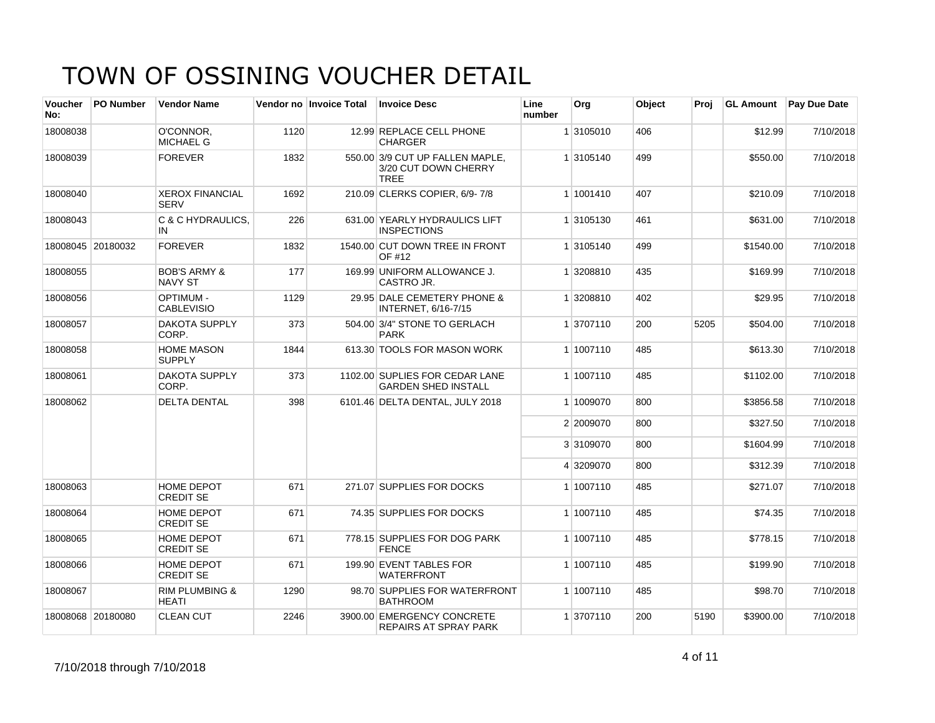| <b>Voucher</b><br>No: | <b>PO Number</b>  | <b>Vendor Name</b>                        |      | Vendor no Invoice Total | <b>Invoice Desc</b>                                                    | Line<br>number | Org       | <b>Object</b> | Proi | <b>GL Amount</b> | <b>Pay Due Date</b> |
|-----------------------|-------------------|-------------------------------------------|------|-------------------------|------------------------------------------------------------------------|----------------|-----------|---------------|------|------------------|---------------------|
| 18008038              |                   | O'CONNOR.<br><b>MICHAEL G</b>             | 1120 |                         | 12.99 REPLACE CELL PHONE<br><b>CHARGER</b>                             |                | 1 3105010 | 406           |      | \$12.99          | 7/10/2018           |
| 18008039              |                   | <b>FOREVER</b>                            | 1832 |                         | 550.00 3/9 CUT UP FALLEN MAPLE,<br>3/20 CUT DOWN CHERRY<br><b>TREE</b> |                | 1 3105140 | 499           |      | \$550.00         | 7/10/2018           |
| 18008040              |                   | <b>XEROX FINANCIAL</b><br><b>SERV</b>     | 1692 |                         | 210.09 CLERKS COPIER, 6/9-7/8                                          |                | 1 1001410 | 407           |      | \$210.09         | 7/10/2018           |
| 18008043              |                   | C & C HYDRAULICS,<br>IN                   | 226  |                         | 631.00 YEARLY HYDRAULICS LIFT<br><b>INSPECTIONS</b>                    |                | 1 3105130 | 461           |      | \$631.00         | 7/10/2018           |
|                       | 18008045 20180032 | <b>FOREVER</b>                            | 1832 |                         | 1540.00 CUT DOWN TREE IN FRONT<br>OF #12                               |                | 1 3105140 | 499           |      | \$1540.00        | 7/10/2018           |
| 18008055              |                   | <b>BOB'S ARMY &amp;</b><br><b>NAVY ST</b> | 177  |                         | 169.99 UNIFORM ALLOWANCE J.<br>CASTRO JR.                              |                | 1 3208810 | 435           |      | \$169.99         | 7/10/2018           |
| 18008056              |                   | <b>OPTIMUM -</b><br><b>CABLEVISIO</b>     | 1129 |                         | 29.95 DALE CEMETERY PHONE &<br>INTERNET, 6/16-7/15                     |                | 1 3208810 | 402           |      | \$29.95          | 7/10/2018           |
| 18008057              |                   | <b>DAKOTA SUPPLY</b><br>CORP.             | 373  |                         | 504.00 3/4" STONE TO GERLACH<br><b>PARK</b>                            |                | 1 3707110 | 200           | 5205 | \$504.00         | 7/10/2018           |
| 18008058              |                   | <b>HOME MASON</b><br><b>SUPPLY</b>        | 1844 |                         | 613.30 TOOLS FOR MASON WORK                                            |                | 1 1007110 | 485           |      | \$613.30         | 7/10/2018           |
| 18008061              |                   | <b>DAKOTA SUPPLY</b><br>CORP.             | 373  |                         | 1102.00 SUPLIES FOR CEDAR LANE<br><b>GARDEN SHED INSTALL</b>           |                | 1 1007110 | 485           |      | \$1102.00        | 7/10/2018           |
| 18008062              |                   | <b>DELTA DENTAL</b>                       | 398  |                         | 6101.46 DELTA DENTAL, JULY 2018                                        |                | 1 1009070 | 800           |      | \$3856.58        | 7/10/2018           |
|                       |                   |                                           |      |                         |                                                                        |                | 2 2009070 | 800           |      | \$327.50         | 7/10/2018           |
|                       |                   |                                           |      |                         |                                                                        |                | 3 3109070 | 800           |      | \$1604.99        | 7/10/2018           |
|                       |                   |                                           |      |                         |                                                                        |                | 4 3209070 | 800           |      | \$312.39         | 7/10/2018           |
| 18008063              |                   | HOME DEPOT<br><b>CREDIT SE</b>            | 671  |                         | 271.07 SUPPLIES FOR DOCKS                                              |                | 1 1007110 | 485           |      | \$271.07         | 7/10/2018           |
| 18008064              |                   | HOME DEPOT<br><b>CREDIT SE</b>            | 671  |                         | 74.35 SUPPLIES FOR DOCKS                                               |                | 1 1007110 | 485           |      | \$74.35          | 7/10/2018           |
| 18008065              |                   | <b>HOME DEPOT</b><br><b>CREDIT SE</b>     | 671  |                         | 778.15 SUPPLIES FOR DOG PARK<br><b>FENCE</b>                           |                | 1 1007110 | 485           |      | \$778.15         | 7/10/2018           |
| 18008066              |                   | HOME DEPOT<br><b>CREDIT SE</b>            | 671  |                         | 199.90 EVENT TABLES FOR<br><b>WATERFRONT</b>                           |                | 1 1007110 | 485           |      | \$199.90         | 7/10/2018           |
| 18008067              |                   | <b>RIM PLUMBING &amp;</b><br><b>HEATI</b> | 1290 |                         | 98.70 SUPPLIES FOR WATERFRONT<br><b>BATHROOM</b>                       |                | 1 1007110 | 485           |      | \$98.70          | 7/10/2018           |
|                       | 18008068 20180080 | <b>CLEAN CUT</b>                          | 2246 |                         | 3900.00 EMERGENCY CONCRETE<br><b>REPAIRS AT SPRAY PARK</b>             |                | 1 3707110 | 200           | 5190 | \$3900.00        | 7/10/2018           |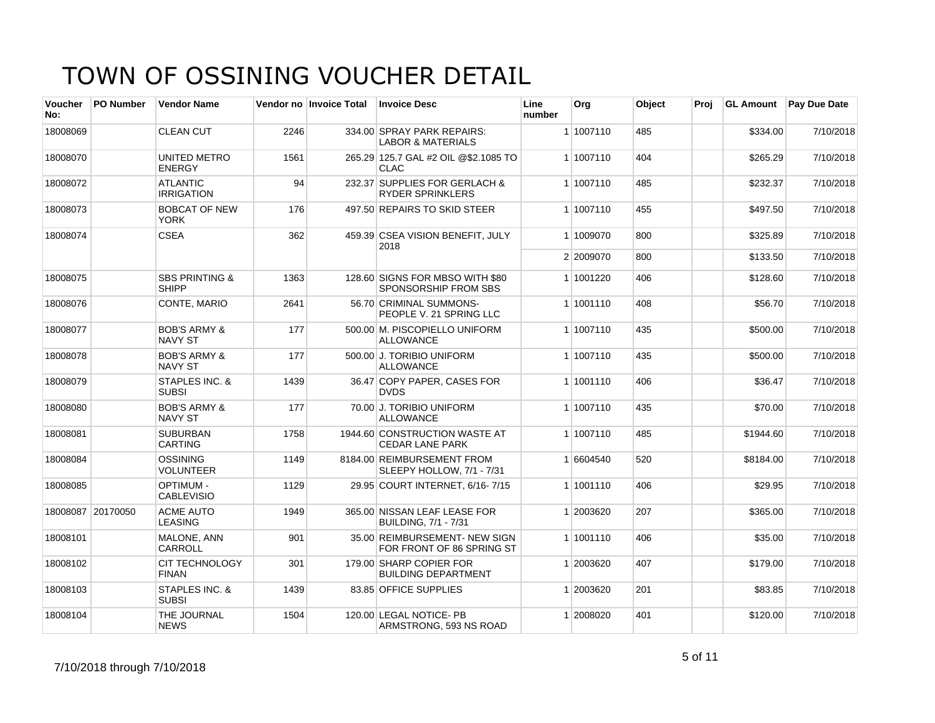| <b>Voucher</b><br>No: | <b>PO Number</b>  | <b>Vendor Name</b>                        |      | Vendor no Invoice Total | <b>Invoice Desc</b>                                        | Line<br>number | Org       | Object | Proj | <b>GL Amount</b> | <b>Pay Due Date</b> |
|-----------------------|-------------------|-------------------------------------------|------|-------------------------|------------------------------------------------------------|----------------|-----------|--------|------|------------------|---------------------|
| 18008069              |                   | <b>CLEAN CUT</b>                          | 2246 |                         | 334.00 SPRAY PARK REPAIRS:<br><b>LABOR &amp; MATERIALS</b> |                | 1 1007110 | 485    |      | \$334.00         | 7/10/2018           |
| 18008070              |                   | UNITED METRO<br><b>ENERGY</b>             | 1561 |                         | 265.29 125.7 GAL #2 OIL @\$2.1085 TO<br>CLAC               |                | 1 1007110 | 404    |      | \$265.29         | 7/10/2018           |
| 18008072              |                   | <b>ATLANTIC</b><br><b>IRRIGATION</b>      | 94   |                         | 232.37 SUPPLIES FOR GERLACH &<br><b>RYDER SPRINKLERS</b>   |                | 1 1007110 | 485    |      | \$232.37         | 7/10/2018           |
| 18008073              |                   | <b>BOBCAT OF NEW</b><br><b>YORK</b>       | 176  |                         | 497.50 REPAIRS TO SKID STEER                               |                | 1 1007110 | 455    |      | \$497.50         | 7/10/2018           |
| 18008074              |                   | <b>CSEA</b>                               | 362  |                         | 459.39 CSEA VISION BENEFIT, JULY<br>2018                   |                | 1 1009070 | 800    |      | \$325.89         | 7/10/2018           |
|                       |                   |                                           |      |                         |                                                            |                | 2 2009070 | 800    |      | \$133.50         | 7/10/2018           |
| 18008075              |                   | <b>SBS PRINTING &amp;</b><br><b>SHIPP</b> | 1363 |                         | 128.60 SIGNS FOR MBSO WITH \$80<br>SPONSORSHIP FROM SBS    |                | 1 1001220 | 406    |      | \$128.60         | 7/10/2018           |
| 18008076              |                   | CONTE, MARIO                              | 2641 |                         | 56.70 CRIMINAL SUMMONS-<br>PEOPLE V. 21 SPRING LLC         |                | 1 1001110 | 408    |      | \$56.70          | 7/10/2018           |
| 18008077              |                   | <b>BOB'S ARMY &amp;</b><br><b>NAVY ST</b> | 177  |                         | 500.00 M. PISCOPIELLO UNIFORM<br><b>ALLOWANCE</b>          |                | 1 1007110 | 435    |      | \$500.00         | 7/10/2018           |
| 18008078              |                   | <b>BOB'S ARMY &amp;</b><br><b>NAVY ST</b> | 177  |                         | 500.00 J. TORIBIO UNIFORM<br><b>ALLOWANCE</b>              |                | 1 1007110 | 435    |      | \$500.00         | 7/10/2018           |
| 18008079              |                   | STAPLES INC. &<br><b>SUBSI</b>            | 1439 |                         | 36.47 COPY PAPER, CASES FOR<br><b>DVDS</b>                 |                | 1 1001110 | 406    |      | \$36.47          | 7/10/2018           |
| 18008080              |                   | <b>BOB'S ARMY &amp;</b><br><b>NAVY ST</b> | 177  |                         | 70.00 J. TORIBIO UNIFORM<br><b>ALLOWANCE</b>               |                | 1 1007110 | 435    |      | \$70.00          | 7/10/2018           |
| 18008081              |                   | <b>SUBURBAN</b><br><b>CARTING</b>         | 1758 |                         | 1944.60 CONSTRUCTION WASTE AT<br><b>CEDAR LANE PARK</b>    |                | 1 1007110 | 485    |      | \$1944.60        | 7/10/2018           |
| 18008084              |                   | <b>OSSINING</b><br><b>VOLUNTEER</b>       | 1149 |                         | 8184.00 REIMBURSEMENT FROM<br>SLEEPY HOLLOW, 7/1 - 7/31    |                | 1 6604540 | 520    |      | \$8184.00        | 7/10/2018           |
| 18008085              |                   | <b>OPTIMUM -</b><br><b>CABLEVISIO</b>     | 1129 |                         | 29.95 COURT INTERNET, 6/16-7/15                            |                | 1 1001110 | 406    |      | \$29.95          | 7/10/2018           |
|                       | 18008087 20170050 | <b>ACME AUTO</b><br><b>LEASING</b>        | 1949 |                         | 365.00 NISSAN LEAF LEASE FOR<br>BUILDING, 7/1 - 7/31       |                | 1 2003620 | 207    |      | \$365.00         | 7/10/2018           |
| 18008101              |                   | MALONE, ANN<br>CARROLL                    | 901  |                         | 35.00 REIMBURSEMENT- NEW SIGN<br>FOR FRONT OF 86 SPRING ST |                | 1 1001110 | 406    |      | \$35.00          | 7/10/2018           |
| 18008102              |                   | <b>CIT TECHNOLOGY</b><br><b>FINAN</b>     | 301  |                         | 179.00 SHARP COPIER FOR<br><b>BUILDING DEPARTMENT</b>      |                | 1 2003620 | 407    |      | \$179.00         | 7/10/2018           |
| 18008103              |                   | STAPLES INC. &<br><b>SUBSI</b>            | 1439 |                         | 83.85 OFFICE SUPPLIES                                      |                | 1 2003620 | 201    |      | \$83.85          | 7/10/2018           |
| 18008104              |                   | THE JOURNAL<br><b>NEWS</b>                | 1504 |                         | 120.00 LEGAL NOTICE- PB<br>ARMSTRONG, 593 NS ROAD          |                | 1 2008020 | 401    |      | \$120.00         | 7/10/2018           |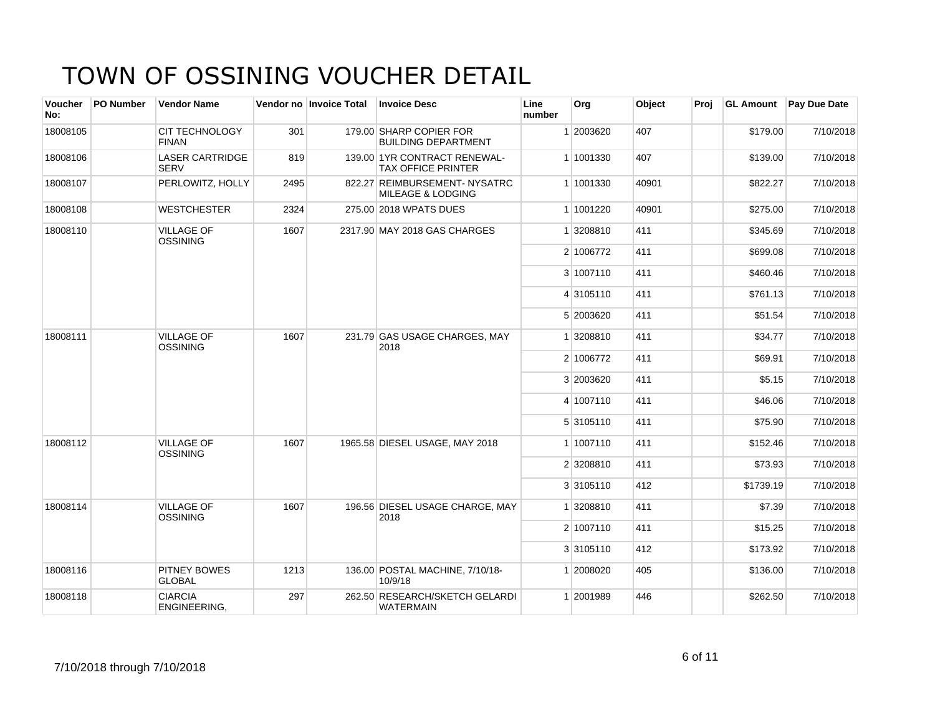| <b>Voucher</b><br>No: | <b>PO Number</b> | <b>Vendor Name</b>                    |      | Vendor no Invoice Total | <b>Invoice Desc</b>                                       | Line<br>number | Org       | Object | Proj |           | GL Amount   Pay Due Date |
|-----------------------|------------------|---------------------------------------|------|-------------------------|-----------------------------------------------------------|----------------|-----------|--------|------|-----------|--------------------------|
| 18008105              |                  | <b>CIT TECHNOLOGY</b><br><b>FINAN</b> | 301  |                         | 179.00 SHARP COPIER FOR<br><b>BUILDING DEPARTMENT</b>     |                | 1 2003620 | 407    |      | \$179.00  | 7/10/2018                |
| 18008106              |                  | <b>LASER CARTRIDGE</b><br><b>SERV</b> | 819  |                         | 139.00 1YR CONTRACT RENEWAL-<br><b>TAX OFFICE PRINTER</b> |                | 1 1001330 | 407    |      | \$139.00  | 7/10/2018                |
| 18008107              |                  | PERLOWITZ, HOLLY                      | 2495 |                         | 822.27 REIMBURSEMENT- NYSATRC<br>MILEAGE & LODGING        |                | 1 1001330 | 40901  |      | \$822.27  | 7/10/2018                |
| 18008108              |                  | <b>WESTCHESTER</b>                    | 2324 |                         | 275.00 2018 WPATS DUES                                    |                | 1 1001220 | 40901  |      | \$275.00  | 7/10/2018                |
| 18008110              |                  | <b>VILLAGE OF</b><br><b>OSSINING</b>  | 1607 |                         | 2317.90 MAY 2018 GAS CHARGES                              |                | 1 3208810 | 411    |      | \$345.69  | 7/10/2018                |
|                       |                  |                                       |      |                         |                                                           |                | 2 1006772 | 411    |      | \$699.08  | 7/10/2018                |
|                       |                  |                                       |      |                         |                                                           |                | 3 1007110 | 411    |      | \$460.46  | 7/10/2018                |
|                       |                  |                                       |      |                         |                                                           |                | 4 3105110 | 411    |      | \$761.13  | 7/10/2018                |
|                       |                  |                                       |      |                         |                                                           |                | 5 2003620 | 411    |      | \$51.54   | 7/10/2018                |
| 18008111              |                  | <b>VILLAGE OF</b><br>OSSINING         | 1607 |                         | 231.79 GAS USAGE CHARGES, MAY<br>2018                     |                | 1 3208810 | 411    |      | \$34.77   | 7/10/2018                |
|                       |                  |                                       |      |                         |                                                           |                | 2 1006772 | 411    |      | \$69.91   | 7/10/2018                |
|                       |                  |                                       |      |                         |                                                           |                | 3 2003620 | 411    |      | \$5.15    | 7/10/2018                |
|                       |                  |                                       |      |                         |                                                           |                | 4 1007110 | 411    |      | \$46.06   | 7/10/2018                |
|                       |                  |                                       |      |                         |                                                           |                | 5 3105110 | 411    |      | \$75.90   | 7/10/2018                |
| 18008112              |                  | <b>VILLAGE OF</b><br>OSSINING         | 1607 |                         | 1965.58 DIESEL USAGE, MAY 2018                            |                | 1 1007110 | 411    |      | \$152.46  | 7/10/2018                |
|                       |                  |                                       |      |                         |                                                           |                | 2 3208810 | 411    |      | \$73.93   | 7/10/2018                |
|                       |                  |                                       |      |                         |                                                           |                | 3 3105110 | 412    |      | \$1739.19 | 7/10/2018                |
| 18008114              |                  | <b>VILLAGE OF</b><br><b>OSSINING</b>  | 1607 |                         | 196.56 DIESEL USAGE CHARGE, MAY<br>2018                   |                | 1 3208810 | 411    |      | \$7.39    | 7/10/2018                |
|                       |                  |                                       |      |                         |                                                           |                | 2 1007110 | 411    |      | \$15.25   | 7/10/2018                |
|                       |                  |                                       |      |                         |                                                           |                | 3 3105110 | 412    |      | \$173.92  | 7/10/2018                |
| 18008116              |                  | <b>PITNEY BOWES</b><br><b>GLOBAL</b>  | 1213 |                         | 136.00 POSTAL MACHINE, 7/10/18-<br>10/9/18                |                | 1 2008020 | 405    |      | \$136.00  | 7/10/2018                |
| 18008118              |                  | <b>CIARCIA</b><br>ENGINEERING,        | 297  |                         | 262.50 RESEARCH/SKETCH GELARDI<br>WATERMAIN               |                | 1 2001989 | 446    |      | \$262.50  | 7/10/2018                |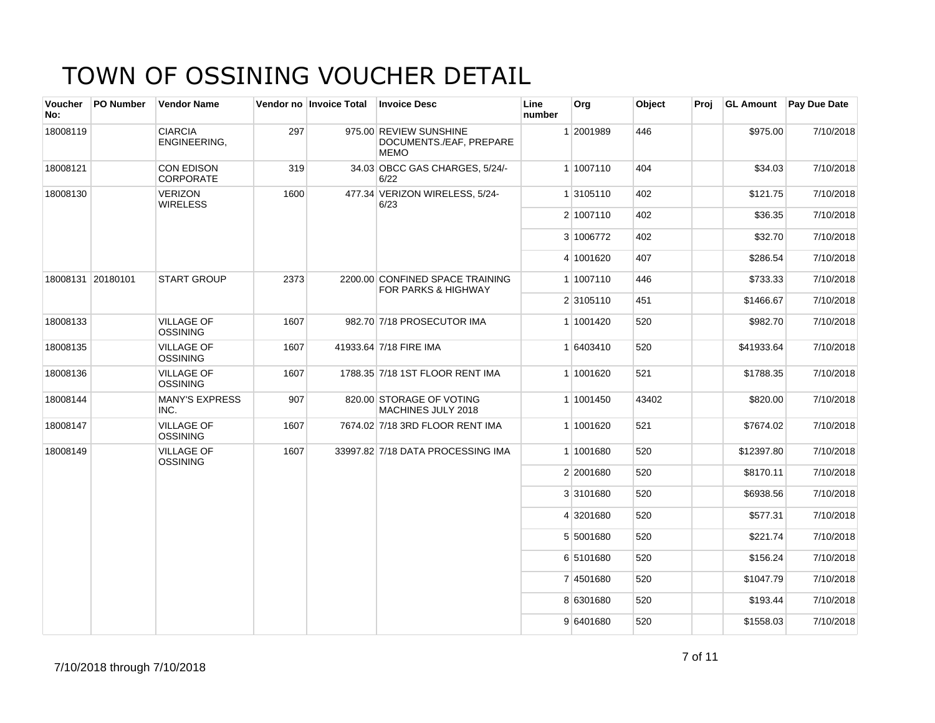| <b>Voucher</b><br>No: | PO Number         | <b>Vendor Name</b>                    |      | Vendor no Invoice Total | <b>Invoice Desc</b>                                              | Line<br>number | Org       | Object | Proj | <b>GL Amount</b> | <b>Pay Due Date</b> |
|-----------------------|-------------------|---------------------------------------|------|-------------------------|------------------------------------------------------------------|----------------|-----------|--------|------|------------------|---------------------|
| 18008119              |                   | <b>CIARCIA</b><br>ENGINEERING,        | 297  |                         | 975.00 REVIEW SUNSHINE<br>DOCUMENTS./EAF, PREPARE<br><b>MEMO</b> |                | 1 2001989 | 446    |      | \$975.00         | 7/10/2018           |
| 18008121              |                   | <b>CON EDISON</b><br><b>CORPORATE</b> | 319  |                         | 34.03 OBCC GAS CHARGES, 5/24/-<br>6/22                           |                | 1 1007110 | 404    |      | \$34.03          | 7/10/2018           |
| 18008130              |                   | <b>VERIZON</b><br><b>WIRELESS</b>     | 1600 |                         | 477.34 VERIZON WIRELESS, 5/24-<br>6/23                           |                | 1 3105110 | 402    |      | \$121.75         | 7/10/2018           |
|                       |                   |                                       |      |                         |                                                                  |                | 2 1007110 | 402    |      | \$36.35          | 7/10/2018           |
|                       |                   |                                       |      |                         |                                                                  |                | 3 1006772 | 402    |      | \$32.70          | 7/10/2018           |
|                       |                   |                                       |      |                         |                                                                  |                | 4 1001620 | 407    |      | \$286.54         | 7/10/2018           |
|                       | 18008131 20180101 | <b>START GROUP</b>                    | 2373 |                         | 2200.00 CONFINED SPACE TRAINING<br>FOR PARKS & HIGHWAY           |                | 1 1007110 | 446    |      | \$733.33         | 7/10/2018           |
|                       |                   |                                       |      |                         |                                                                  |                | 2 3105110 | 451    |      | \$1466.67        | 7/10/2018           |
| 18008133              |                   | <b>VILLAGE OF</b><br><b>OSSINING</b>  | 1607 |                         | 982.70 7/18 PROSECUTOR IMA                                       |                | 1 1001420 | 520    |      | \$982.70         | 7/10/2018           |
| 18008135              |                   | <b>VILLAGE OF</b><br><b>OSSINING</b>  | 1607 |                         | 41933.64 7/18 FIRE IMA                                           |                | 1 6403410 | 520    |      | \$41933.64       | 7/10/2018           |
| 18008136              |                   | <b>VILLAGE OF</b><br><b>OSSINING</b>  | 1607 |                         | 1788.35 7/18 1ST FLOOR RENT IMA                                  |                | 1 1001620 | 521    |      | \$1788.35        | 7/10/2018           |
| 18008144              |                   | <b>MANY'S EXPRESS</b><br>INC.         | 907  |                         | 820.00 STORAGE OF VOTING<br>MACHINES JULY 2018                   |                | 1 1001450 | 43402  |      | \$820.00         | 7/10/2018           |
| 18008147              |                   | <b>VILLAGE OF</b><br><b>OSSINING</b>  | 1607 |                         | 7674.02 7/18 3RD FLOOR RENT IMA                                  |                | 1 1001620 | 521    |      | \$7674.02        | 7/10/2018           |
| 18008149              |                   | <b>VILLAGE OF</b><br><b>OSSINING</b>  | 1607 |                         | 33997.82 7/18 DATA PROCESSING IMA                                |                | 1 1001680 | 520    |      | \$12397.80       | 7/10/2018           |
|                       |                   |                                       |      |                         |                                                                  |                | 2 2001680 | 520    |      | \$8170.11        | 7/10/2018           |
|                       |                   |                                       |      |                         |                                                                  |                | 3 3101680 | 520    |      | \$6938.56        | 7/10/2018           |
|                       |                   |                                       |      |                         |                                                                  |                | 4 3201680 | 520    |      | \$577.31         | 7/10/2018           |
|                       |                   |                                       |      |                         |                                                                  |                | 5 5001680 | 520    |      | \$221.74         | 7/10/2018           |
|                       |                   |                                       |      |                         |                                                                  |                | 6 5101680 | 520    |      | \$156.24         | 7/10/2018           |
|                       |                   |                                       |      |                         |                                                                  |                | 7 4501680 | 520    |      | \$1047.79        | 7/10/2018           |
|                       |                   |                                       |      |                         |                                                                  |                | 8 6301680 | 520    |      | \$193.44         | 7/10/2018           |
|                       |                   |                                       |      |                         |                                                                  |                | 9 6401680 | 520    |      | \$1558.03        | 7/10/2018           |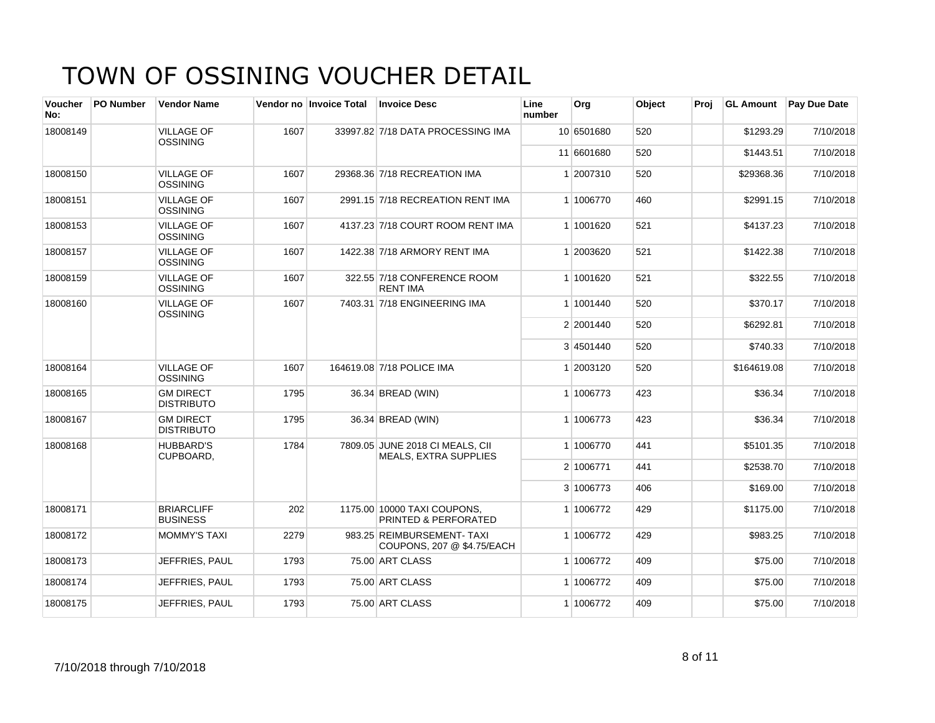| <b>Voucher</b><br>No: | <b>PO Number</b> | <b>Vendor Name</b>                    |      | Vendor no Invoice Total | <b>Invoice Desc</b>                                             | Line<br>number | Org        | Object | Proi |             | <b>GL Amount</b> Pay Due Date |
|-----------------------|------------------|---------------------------------------|------|-------------------------|-----------------------------------------------------------------|----------------|------------|--------|------|-------------|-------------------------------|
| 18008149              |                  | <b>VILLAGE OF</b><br><b>OSSINING</b>  | 1607 |                         | 33997.82 7/18 DATA PROCESSING IMA                               |                | 10 6501680 | 520    |      | \$1293.29   | 7/10/2018                     |
|                       |                  |                                       |      |                         |                                                                 |                | 11 6601680 | 520    |      | \$1443.51   | 7/10/2018                     |
| 18008150              |                  | <b>VILLAGE OF</b><br><b>OSSINING</b>  | 1607 |                         | 29368.36 7/18 RECREATION IMA                                    |                | 1 2007310  | 520    |      | \$29368.36  | 7/10/2018                     |
| 18008151              |                  | <b>VILLAGE OF</b><br><b>OSSINING</b>  | 1607 |                         | 2991.15 7/18 RECREATION RENT IMA                                |                | 1 1006770  | 460    |      | \$2991.15   | 7/10/2018                     |
| 18008153              |                  | <b>VILLAGE OF</b><br><b>OSSINING</b>  | 1607 |                         | 4137.23 7/18 COURT ROOM RENT IMA                                |                | 1 1001620  | 521    |      | \$4137.23   | 7/10/2018                     |
| 18008157              |                  | <b>VILLAGE OF</b><br><b>OSSINING</b>  | 1607 |                         | 1422.38 7/18 ARMORY RENT IMA                                    |                | 1 2003620  | 521    |      | \$1422.38   | 7/10/2018                     |
| 18008159              |                  | <b>VILLAGE OF</b><br>OSSINING         | 1607 |                         | 322.55 7/18 CONFERENCE ROOM<br><b>RENT IMA</b>                  |                | 1 1001620  | 521    |      | \$322.55    | 7/10/2018                     |
| 18008160              |                  | <b>VILLAGE OF</b><br><b>OSSINING</b>  | 1607 |                         | 7403.31 7/18 ENGINEERING IMA                                    |                | 1 1001440  | 520    |      | \$370.17    | 7/10/2018                     |
|                       |                  |                                       |      |                         |                                                                 |                | 2 2001440  | 520    |      | \$6292.81   | 7/10/2018                     |
|                       |                  |                                       |      |                         |                                                                 |                | 3 4501440  | 520    |      | \$740.33    | 7/10/2018                     |
| 18008164              |                  | <b>VILLAGE OF</b><br><b>OSSINING</b>  | 1607 |                         | 164619.08 7/18 POLICE IMA                                       |                | 1 2003120  | 520    |      | \$164619.08 | 7/10/2018                     |
| 18008165              |                  | <b>GM DIRECT</b><br><b>DISTRIBUTO</b> | 1795 |                         | 36.34 BREAD (WIN)                                               |                | 1 1006773  | 423    |      | \$36.34     | 7/10/2018                     |
| 18008167              |                  | <b>GM DIRECT</b><br><b>DISTRIBUTO</b> | 1795 |                         | 36.34 BREAD (WIN)                                               |                | 1 1006773  | 423    |      | \$36.34     | 7/10/2018                     |
| 18008168              |                  | <b>HUBBARD'S</b><br>CUPBOARD,         | 1784 |                         | 7809.05 JUNE 2018 CI MEALS, CII<br><b>MEALS, EXTRA SUPPLIES</b> |                | 1 1006770  | 441    |      | \$5101.35   | 7/10/2018                     |
|                       |                  |                                       |      |                         |                                                                 |                | 2 1006771  | 441    |      | \$2538.70   | 7/10/2018                     |
|                       |                  |                                       |      |                         |                                                                 |                | 3 1006773  | 406    |      | \$169.00    | 7/10/2018                     |
| 18008171              |                  | <b>BRIARCLIFF</b><br><b>BUSINESS</b>  | 202  |                         | 1175.00 10000 TAXI COUPONS.<br><b>PRINTED &amp; PERFORATED</b>  |                | 1 1006772  | 429    |      | \$1175.00   | 7/10/2018                     |
| 18008172              |                  | <b>MOMMY'S TAXI</b>                   | 2279 |                         | 983.25 REIMBURSEMENT- TAXI<br>COUPONS, 207 @ \$4.75/EACH        |                | 1 1006772  | 429    |      | \$983.25    | 7/10/2018                     |
| 18008173              |                  | JEFFRIES, PAUL                        | 1793 |                         | 75.00 ART CLASS                                                 |                | 1 1006772  | 409    |      | \$75.00     | 7/10/2018                     |
| 18008174              |                  | JEFFRIES, PAUL                        | 1793 |                         | 75.00 ART CLASS                                                 |                | 1 1006772  | 409    |      | \$75.00     | 7/10/2018                     |
| 18008175              |                  | JEFFRIES, PAUL                        | 1793 |                         | 75.00 ART CLASS                                                 |                | 1 1006772  | 409    |      | \$75.00     | 7/10/2018                     |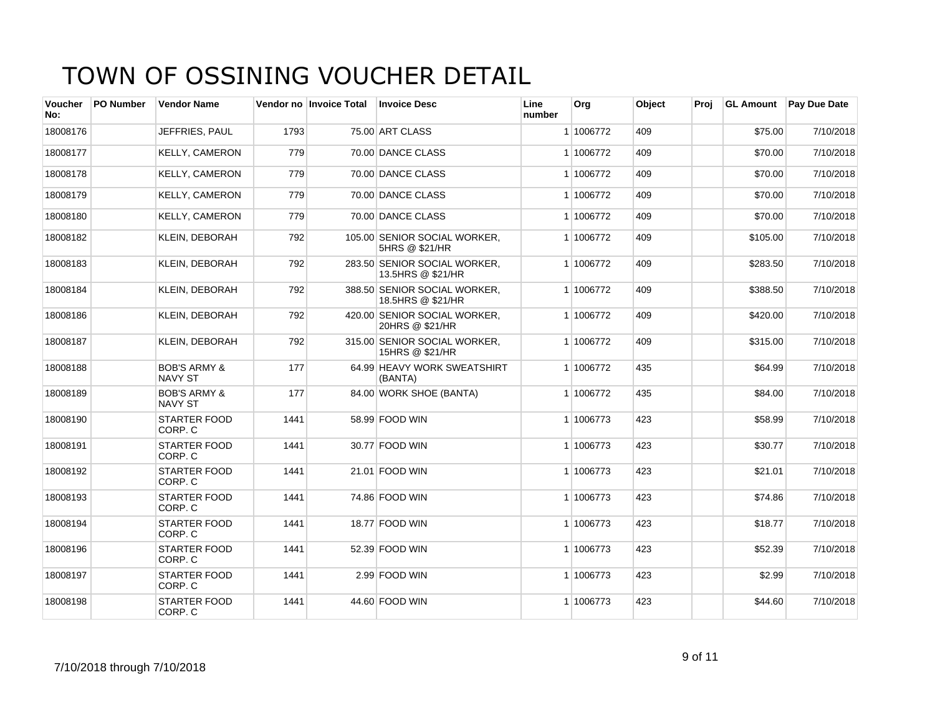| Voucher<br>No: | <b>PO Number</b> | <b>Vendor Name</b>                        |      | Vendor no Invoice Total | <b>Invoice Desc</b>                               | Line<br>number | <b>Org</b> | Object | Proi |          | <b>GL Amount</b> Pay Due Date |
|----------------|------------------|-------------------------------------------|------|-------------------------|---------------------------------------------------|----------------|------------|--------|------|----------|-------------------------------|
| 18008176       |                  | JEFFRIES, PAUL                            | 1793 |                         | 75.00 ART CLASS                                   |                | 1 1006772  | 409    |      | \$75.00  | 7/10/2018                     |
| 18008177       |                  | <b>KELLY, CAMERON</b>                     | 779  |                         | 70.00 DANCE CLASS                                 |                | 1 1006772  | 409    |      | \$70.00  | 7/10/2018                     |
| 18008178       |                  | <b>KELLY, CAMERON</b>                     | 779  |                         | 70.00 DANCE CLASS                                 |                | 1 1006772  | 409    |      | \$70.00  | 7/10/2018                     |
| 18008179       |                  | <b>KELLY, CAMERON</b>                     | 779  |                         | 70.00 DANCE CLASS                                 |                | 1 1006772  | 409    |      | \$70.00  | 7/10/2018                     |
| 18008180       |                  | <b>KELLY, CAMERON</b>                     | 779  |                         | 70.00 DANCE CLASS                                 |                | 1 1006772  | 409    |      | \$70.00  | 7/10/2018                     |
| 18008182       |                  | <b>KLEIN, DEBORAH</b>                     | 792  |                         | 105.00 SENIOR SOCIAL WORKER.<br>5HRS @ \$21/HR    |                | 1 1006772  | 409    |      | \$105.00 | 7/10/2018                     |
| 18008183       |                  | <b>KLEIN, DEBORAH</b>                     | 792  |                         | 283.50 SENIOR SOCIAL WORKER,<br>13.5HRS @ \$21/HR |                | 1 1006772  | 409    |      | \$283.50 | 7/10/2018                     |
| 18008184       |                  | <b>KLEIN, DEBORAH</b>                     | 792  |                         | 388.50 SENIOR SOCIAL WORKER.<br>18.5HRS @ \$21/HR |                | 1 1006772  | 409    |      | \$388.50 | 7/10/2018                     |
| 18008186       |                  | <b>KLEIN, DEBORAH</b>                     | 792  |                         | 420.00 SENIOR SOCIAL WORKER,<br>20HRS @ \$21/HR   |                | 1 1006772  | 409    |      | \$420.00 | 7/10/2018                     |
| 18008187       |                  | <b>KLEIN, DEBORAH</b>                     | 792  |                         | 315.00 SENIOR SOCIAL WORKER,<br>15HRS @ \$21/HR   |                | 1 1006772  | 409    |      | \$315.00 | 7/10/2018                     |
| 18008188       |                  | <b>BOB'S ARMY &amp;</b><br><b>NAVY ST</b> | 177  |                         | 64.99 HEAVY WORK SWEATSHIRT<br>(BANTA)            |                | 1 1006772  | 435    |      | \$64.99  | 7/10/2018                     |
| 18008189       |                  | <b>BOB'S ARMY &amp;</b><br>NAVY ST        | 177  |                         | 84.00 WORK SHOE (BANTA)                           |                | 1 1006772  | 435    |      | \$84.00  | 7/10/2018                     |
| 18008190       |                  | <b>STARTER FOOD</b><br>CORP. C            | 1441 |                         | 58.99 FOOD WIN                                    |                | 1 1006773  | 423    |      | \$58.99  | 7/10/2018                     |
| 18008191       |                  | <b>STARTER FOOD</b><br>CORP. C            | 1441 |                         | 30.77 FOOD WIN                                    |                | 1 1006773  | 423    |      | \$30.77  | 7/10/2018                     |
| 18008192       |                  | <b>STARTER FOOD</b><br>CORP. C            | 1441 |                         | 21.01 FOOD WIN                                    |                | 1 1006773  | 423    |      | \$21.01  | 7/10/2018                     |
| 18008193       |                  | <b>STARTER FOOD</b><br>CORP. C            | 1441 |                         | 74.86 FOOD WIN                                    |                | 1 1006773  | 423    |      | \$74.86  | 7/10/2018                     |
| 18008194       |                  | <b>STARTER FOOD</b><br>CORP. C            | 1441 |                         | 18.77 FOOD WIN                                    |                | 1 1006773  | 423    |      | \$18.77  | 7/10/2018                     |
| 18008196       |                  | <b>STARTER FOOD</b><br>CORP. C            | 1441 |                         | 52.39 FOOD WIN                                    |                | 1 1006773  | 423    |      | \$52.39  | 7/10/2018                     |
| 18008197       |                  | <b>STARTER FOOD</b><br>CORP. C            | 1441 |                         | 2.99 FOOD WIN                                     |                | 1 1006773  | 423    |      | \$2.99   | 7/10/2018                     |
| 18008198       |                  | STARTER FOOD<br>CORP. C                   | 1441 |                         | 44.60 FOOD WIN                                    |                | 1 1006773  | 423    |      | \$44.60  | 7/10/2018                     |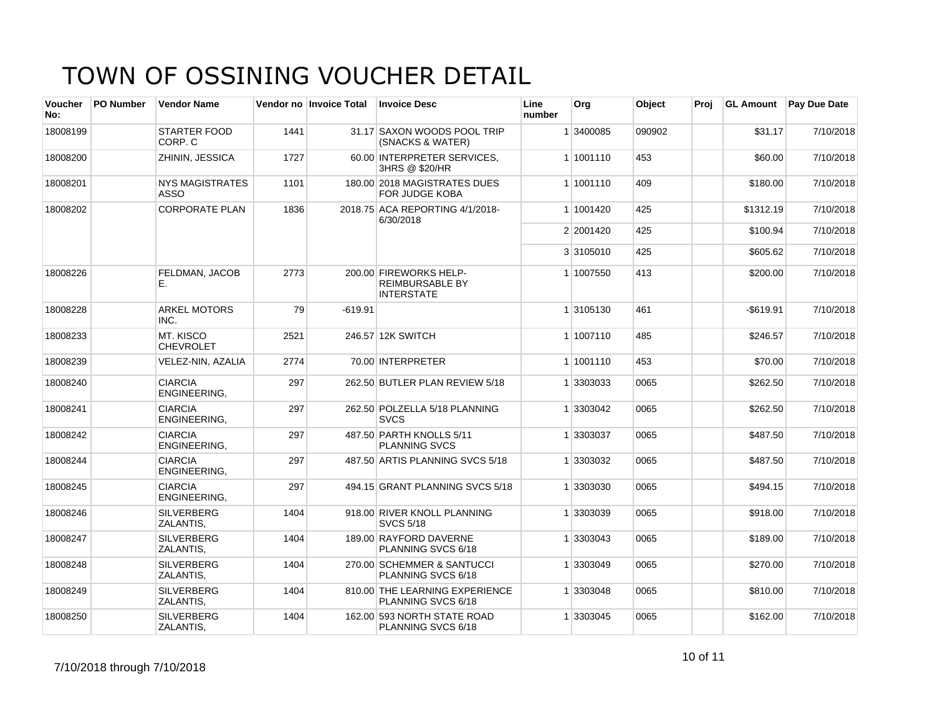| <b>Voucher</b><br>No: | <b>PO Number</b> | <b>Vendor Name</b>                    |      | Vendor no Invoice Total | <b>Invoice Desc</b>                                                   | Line<br>number | Org       | <b>Object</b> | Proi | <b>GL Amount</b> | <b>Pay Due Date</b> |
|-----------------------|------------------|---------------------------------------|------|-------------------------|-----------------------------------------------------------------------|----------------|-----------|---------------|------|------------------|---------------------|
| 18008199              |                  | <b>STARTER FOOD</b><br>CORP. C        | 1441 |                         | 31.17 SAXON WOODS POOL TRIP<br>(SNACKS & WATER)                       |                | 1 3400085 | 090902        |      | \$31.17          | 7/10/2018           |
| 18008200              |                  | ZHININ, JESSICA                       | 1727 |                         | 60.00 INTERPRETER SERVICES.<br>3HRS @ \$20/HR                         |                | 1 1001110 | 453           |      | \$60.00          | 7/10/2018           |
| 18008201              |                  | <b>NYS MAGISTRATES</b><br><b>ASSO</b> | 1101 |                         | 180.00 2018 MAGISTRATES DUES<br><b>FOR JUDGE KOBA</b>                 |                | 1 1001110 | 409           |      | \$180.00         | 7/10/2018           |
| 18008202              |                  | <b>CORPORATE PLAN</b>                 | 1836 |                         | 2018.75 ACA REPORTING 4/1/2018-<br>6/30/2018                          |                | 1 1001420 | 425           |      | \$1312.19        | 7/10/2018           |
|                       |                  |                                       |      |                         |                                                                       |                | 2 2001420 | 425           |      | \$100.94         | 7/10/2018           |
|                       |                  |                                       |      |                         |                                                                       |                | 3 3105010 | 425           |      | \$605.62         | 7/10/2018           |
| 18008226              |                  | FELDMAN, JACOB<br>Е.                  | 2773 |                         | 200.00 FIREWORKS HELP-<br><b>REIMBURSABLE BY</b><br><b>INTERSTATE</b> |                | 1 1007550 | 413           |      | \$200.00         | 7/10/2018           |
| 18008228              |                  | <b>ARKEL MOTORS</b><br>INC.           | 79   | $-619.91$               |                                                                       |                | 1 3105130 | 461           |      | $-$619.91$       | 7/10/2018           |
| 18008233              |                  | MT. KISCO<br><b>CHEVROLET</b>         | 2521 |                         | 246.57 12K SWITCH                                                     |                | 1 1007110 | 485           |      | \$246.57         | 7/10/2018           |
| 18008239              |                  | VELEZ-NIN, AZALIA                     | 2774 |                         | 70.00 INTERPRETER                                                     |                | 1 1001110 | 453           |      | \$70.00          | 7/10/2018           |
| 18008240              |                  | <b>CIARCIA</b><br>ENGINEERING,        | 297  |                         | 262.50 BUTLER PLAN REVIEW 5/18                                        |                | 1 3303033 | 0065          |      | \$262.50         | 7/10/2018           |
| 18008241              |                  | <b>CIARCIA</b><br>ENGINEERING,        | 297  |                         | 262.50 POLZELLA 5/18 PLANNING<br><b>SVCS</b>                          |                | 1 3303042 | 0065          |      | \$262.50         | 7/10/2018           |
| 18008242              |                  | <b>CIARCIA</b><br>ENGINEERING.        | 297  |                         | 487.50 PARTH KNOLLS 5/11<br><b>PLANNING SVCS</b>                      |                | 1 3303037 | 0065          |      | \$487.50         | 7/10/2018           |
| 18008244              |                  | <b>CIARCIA</b><br>ENGINEERING,        | 297  |                         | 487.50 ARTIS PLANNING SVCS 5/18                                       |                | 1 3303032 | 0065          |      | \$487.50         | 7/10/2018           |
| 18008245              |                  | <b>CIARCIA</b><br>ENGINEERING.        | 297  |                         | 494.15 GRANT PLANNING SVCS 5/18                                       |                | 1 3303030 | 0065          |      | \$494.15         | 7/10/2018           |
| 18008246              |                  | <b>SILVERBERG</b><br>ZALANTIS,        | 1404 |                         | 918.00 RIVER KNOLL PLANNING<br><b>SVCS 5/18</b>                       |                | 1 3303039 | 0065          |      | \$918.00         | 7/10/2018           |
| 18008247              |                  | <b>SILVERBERG</b><br>ZALANTIS,        | 1404 |                         | 189.00 RAYFORD DAVERNE<br>PLANNING SVCS 6/18                          |                | 1 3303043 | 0065          |      | \$189.00         | 7/10/2018           |
| 18008248              |                  | <b>SILVERBERG</b><br>ZALANTIS,        | 1404 |                         | 270.00 SCHEMMER & SANTUCCI<br>PLANNING SVCS 6/18                      |                | 1 3303049 | 0065          |      | \$270.00         | 7/10/2018           |
| 18008249              |                  | <b>SILVERBERG</b><br>ZALANTIS,        | 1404 |                         | 810.00 THE LEARNING EXPERIENCE<br>PLANNING SVCS 6/18                  |                | 1 3303048 | 0065          |      | \$810.00         | 7/10/2018           |
| 18008250              |                  | <b>SILVERBERG</b><br>ZALANTIS,        | 1404 |                         | 162.00 593 NORTH STATE ROAD<br>PLANNING SVCS 6/18                     |                | 1 3303045 | 0065          |      | \$162.00         | 7/10/2018           |